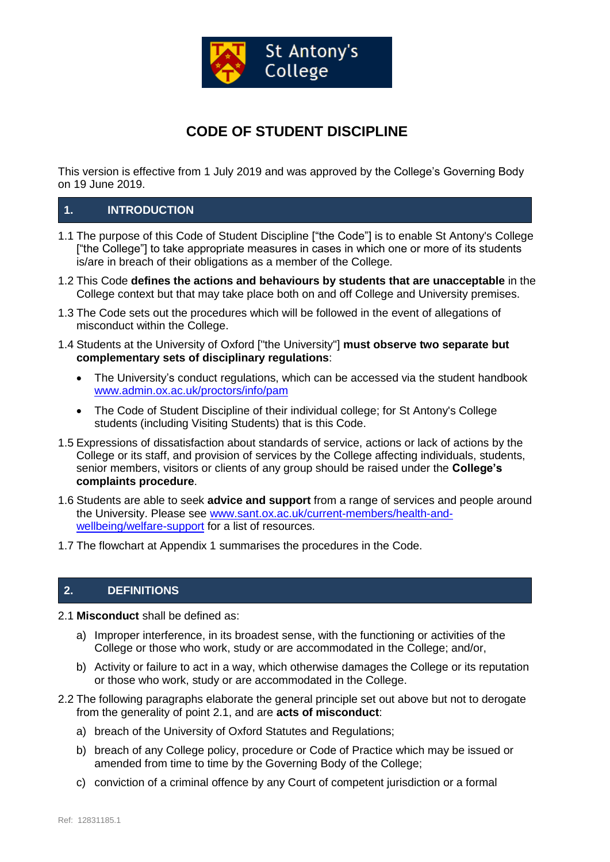

# **CODE OF STUDENT DISCIPLINE**

This version is effective from 1 July 2019 and was approved by the College's Governing Body on 19 June 2019.

## **1. INTRODUCTION**

- 1.1 The purpose of this Code of Student Discipline ["the Code"] is to enable St Antony's College ["the College"] to take appropriate measures in cases in which one or more of its students is/are in breach of their obligations as a member of the College.
- 1.2 This Code **defines the actions and behaviours by students that are unacceptable** in the College context but that may take place both on and off College and University premises.
- 1.3 The Code sets out the procedures which will be followed in the event of allegations of misconduct within the College.
- 1.4 Students at the University of Oxford ["the University"] **must observe two separate but complementary sets of disciplinary regulations**:
	- The University's conduct regulations, which can be accessed via the student handbook [www.admin.ox.ac.uk/proctors/info/pam](http://www.admin.ox.ac.uk/proctors/info/pam)
	- The Code of Student Discipline of their individual college; for St Antony's College students (including Visiting Students) that is this Code.
- 1.5 Expressions of dissatisfaction about standards of service, actions or lack of actions by the College or its staff, and provision of services by the College affecting individuals, students, senior members, visitors or clients of any group should be raised under the **College's complaints procedure**.
- 1.6 Students are able to seek **advice and support** from a range of services and people around the University. Please see [www.sant.ox.ac.uk/current-members/health-and](http://www.sant.ox.ac.uk/current-members/health-and-wellbeing/welfare-support)[wellbeing/welfare-support](http://www.sant.ox.ac.uk/current-members/health-and-wellbeing/welfare-support) for a list of resources.
- 1.7 The flowchart at Appendix 1 summarises the procedures in the Code.

#### **2. DEFINITIONS**

- 2.1 **Misconduct** shall be defined as:
	- a) Improper interference, in its broadest sense, with the functioning or activities of the College or those who work, study or are accommodated in the College; and/or,
	- b) Activity or failure to act in a way, which otherwise damages the College or its reputation or those who work, study or are accommodated in the College.
- 2.2 The following paragraphs elaborate the general principle set out above but not to derogate from the generality of point 2.1, and are **acts of misconduct**:
	- a) breach of the University of Oxford Statutes and Regulations;
	- b) breach of any College policy, procedure or Code of Practice which may be issued or amended from time to time by the Governing Body of the College;
	- c) conviction of a criminal offence by any Court of competent jurisdiction or a formal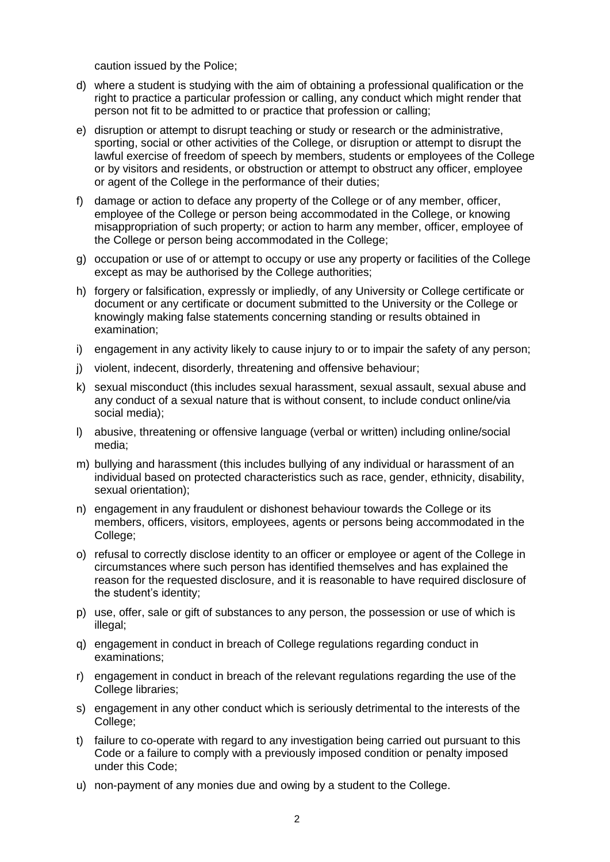caution issued by the Police;

- d) where a student is studying with the aim of obtaining a professional qualification or the right to practice a particular profession or calling, any conduct which might render that person not fit to be admitted to or practice that profession or calling;
- e) disruption or attempt to disrupt teaching or study or research or the administrative, sporting, social or other activities of the College, or disruption or attempt to disrupt the lawful exercise of freedom of speech by members, students or employees of the College or by visitors and residents, or obstruction or attempt to obstruct any officer, employee or agent of the College in the performance of their duties;
- f) damage or action to deface any property of the College or of any member, officer, employee of the College or person being accommodated in the College, or knowing misappropriation of such property; or action to harm any member, officer, employee of the College or person being accommodated in the College;
- g) occupation or use of or attempt to occupy or use any property or facilities of the College except as may be authorised by the College authorities;
- h) forgery or falsification, expressly or impliedly, of any University or College certificate or document or any certificate or document submitted to the University or the College or knowingly making false statements concerning standing or results obtained in examination;
- i) engagement in any activity likely to cause injury to or to impair the safety of any person;
- j) violent, indecent, disorderly, threatening and offensive behaviour;
- k) sexual misconduct (this includes sexual harassment, sexual assault, sexual abuse and any conduct of a sexual nature that is without consent, to include conduct online/via social media);
- l) abusive, threatening or offensive language (verbal or written) including online/social media;
- m) bullying and harassment (this includes bullying of any individual or harassment of an individual based on protected characteristics such as race, gender, ethnicity, disability, sexual orientation);
- n) engagement in any fraudulent or dishonest behaviour towards the College or its members, officers, visitors, employees, agents or persons being accommodated in the College;
- o) refusal to correctly disclose identity to an officer or employee or agent of the College in circumstances where such person has identified themselves and has explained the reason for the requested disclosure, and it is reasonable to have required disclosure of the student's identity;
- p) use, offer, sale or gift of substances to any person, the possession or use of which is illegal;
- q) engagement in conduct in breach of College regulations regarding conduct in examinations;
- r) engagement in conduct in breach of the relevant regulations regarding the use of the College libraries;
- s) engagement in any other conduct which is seriously detrimental to the interests of the College;
- t) failure to co-operate with regard to any investigation being carried out pursuant to this Code or a failure to comply with a previously imposed condition or penalty imposed under this Code;
- u) non-payment of any monies due and owing by a student to the College.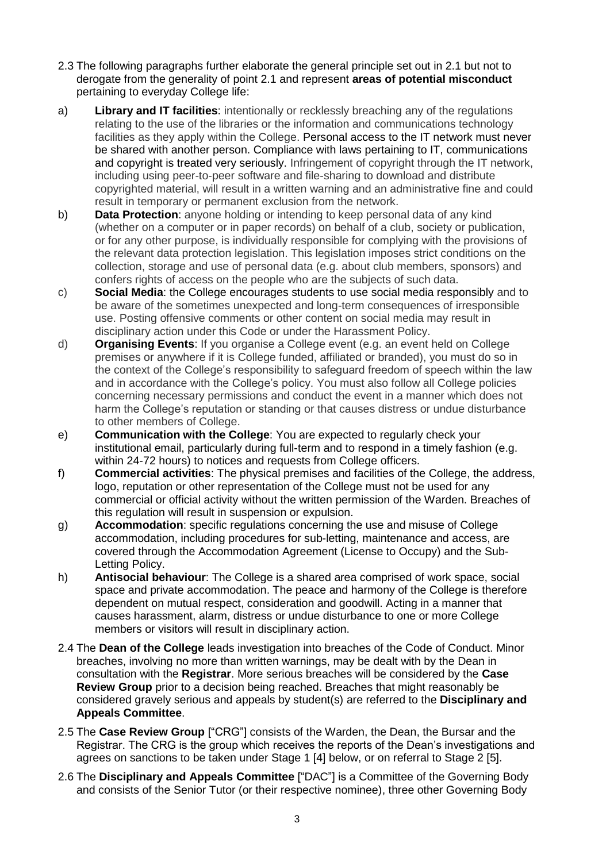- 2.3 The following paragraphs further elaborate the general principle set out in 2.1 but not to derogate from the generality of point 2.1 and represent **areas of potential misconduct** pertaining to everyday College life:
- a) **Library and IT facilities**: intentionally or recklessly breaching any of the regulations relating to the use of the libraries or the information and communications technology facilities as they apply within the College. Personal access to the IT network must never be shared with another person. Compliance with laws pertaining to IT, communications and copyright is treated very seriously. Infringement of copyright through the IT network, including using peer-to-peer software and file-sharing to download and distribute copyrighted material, will result in a written warning and an administrative fine and could result in temporary or permanent exclusion from the network.
- b) **Data Protection**: anyone holding or intending to keep personal data of any kind (whether on a computer or in paper records) on behalf of a club, society or publication, or for any other purpose, is individually responsible for complying with the provisions of the relevant data protection legislation. This legislation imposes strict conditions on the collection, storage and use of personal data (e.g. about club members, sponsors) and confers rights of access on the people who are the subjects of such data.
- c) **Social Media**: the College encourages students to use social media responsibly and to be aware of the sometimes unexpected and long-term consequences of irresponsible use. Posting offensive comments or other content on social media may result in disciplinary action under this Code or under the Harassment Policy.
- d) **Organising Events**: If you organise a College event (e.g. an event held on College premises or anywhere if it is College funded, affiliated or branded), you must do so in the context of the College's responsibility to safeguard freedom of speech within the law and in accordance with the College's policy. You must also follow all College policies concerning necessary permissions and conduct the event in a manner which does not harm the College's reputation or standing or that causes distress or undue disturbance to other members of College.
- e) **Communication with the College**: You are expected to regularly check your institutional email, particularly during full-term and to respond in a timely fashion (e.g. within 24-72 hours) to notices and requests from College officers.
- f) **Commercial activities**: The physical premises and facilities of the College, the address, logo, reputation or other representation of the College must not be used for any commercial or official activity without the written permission of the Warden. Breaches of this regulation will result in suspension or expulsion.
- g) **Accommodation**: specific regulations concerning the use and misuse of College accommodation, including procedures for sub-letting, maintenance and access, are covered through the Accommodation Agreement (License to Occupy) and the Sub-Letting Policy.
- h) **Antisocial behaviour**: The College is a shared area comprised of work space, social space and private accommodation. The peace and harmony of the College is therefore dependent on mutual respect, consideration and goodwill. Acting in a manner that causes harassment, alarm, distress or undue disturbance to one or more College members or visitors will result in disciplinary action.
- 2.4 The **Dean of the College** leads investigation into breaches of the Code of Conduct. Minor breaches, involving no more than written warnings, may be dealt with by the Dean in consultation with the **Registrar**. More serious breaches will be considered by the **Case Review Group** prior to a decision being reached. Breaches that might reasonably be considered gravely serious and appeals by student(s) are referred to the **Disciplinary and Appeals Committee**.
- 2.5 The **Case Review Group** ["CRG"] consists of the Warden, the Dean, the Bursar and the Registrar. The CRG is the group which receives the reports of the Dean's investigations and agrees on sanctions to be taken under Stage 1 [4] below, or on referral to Stage 2 [5].
- 2.6 The **Disciplinary and Appeals Committee** ["DAC"] is a Committee of the Governing Body and consists of the Senior Tutor (or their respective nominee), three other Governing Body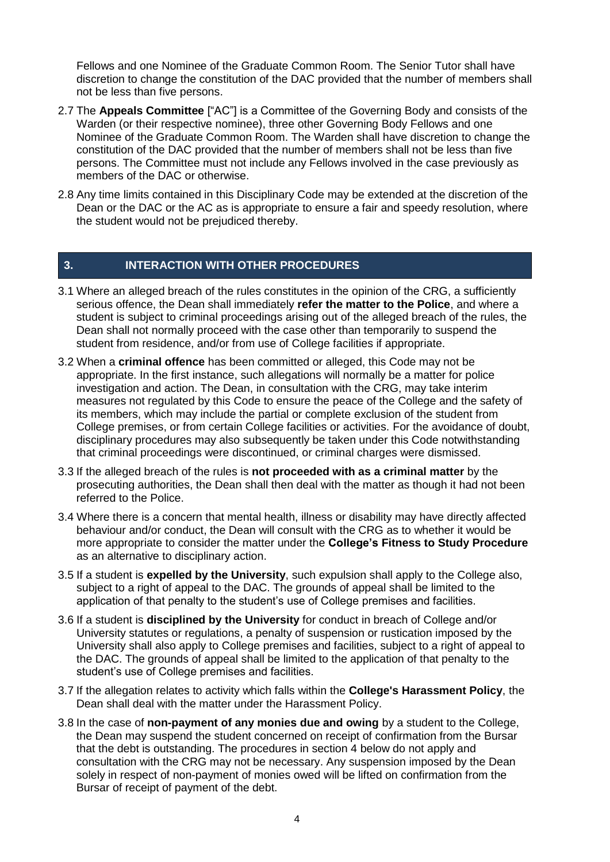Fellows and one Nominee of the Graduate Common Room. The Senior Tutor shall have discretion to change the constitution of the DAC provided that the number of members shall not be less than five persons.

- 2.7 The **Appeals Committee** ["AC"] is a Committee of the Governing Body and consists of the Warden (or their respective nominee), three other Governing Body Fellows and one Nominee of the Graduate Common Room. The Warden shall have discretion to change the constitution of the DAC provided that the number of members shall not be less than five persons. The Committee must not include any Fellows involved in the case previously as members of the DAC or otherwise.
- 2.8 Any time limits contained in this Disciplinary Code may be extended at the discretion of the Dean or the DAC or the AC as is appropriate to ensure a fair and speedy resolution, where the student would not be prejudiced thereby.

### **3. INTERACTION WITH OTHER PROCEDURES**

- 3.1 Where an alleged breach of the rules constitutes in the opinion of the CRG, a sufficiently serious offence, the Dean shall immediately **refer the matter to the Police**, and where a student is subject to criminal proceedings arising out of the alleged breach of the rules, the Dean shall not normally proceed with the case other than temporarily to suspend the student from residence, and/or from use of College facilities if appropriate.
- 3.2 When a **criminal offence** has been committed or alleged, this Code may not be appropriate. In the first instance, such allegations will normally be a matter for police investigation and action. The Dean, in consultation with the CRG, may take interim measures not regulated by this Code to ensure the peace of the College and the safety of its members, which may include the partial or complete exclusion of the student from College premises, or from certain College facilities or activities. For the avoidance of doubt, disciplinary procedures may also subsequently be taken under this Code notwithstanding that criminal proceedings were discontinued, or criminal charges were dismissed.
- 3.3 If the alleged breach of the rules is **not proceeded with as a criminal matter** by the prosecuting authorities, the Dean shall then deal with the matter as though it had not been referred to the Police.
- 3.4 Where there is a concern that mental health, illness or disability may have directly affected behaviour and/or conduct, the Dean will consult with the CRG as to whether it would be more appropriate to consider the matter under the **College's Fitness to Study Procedure** as an alternative to disciplinary action.
- 3.5 If a student is **expelled by the University**, such expulsion shall apply to the College also, subject to a right of appeal to the DAC. The grounds of appeal shall be limited to the application of that penalty to the student's use of College premises and facilities.
- 3.6 If a student is **disciplined by the University** for conduct in breach of College and/or University statutes or regulations, a penalty of suspension or rustication imposed by the University shall also apply to College premises and facilities, subject to a right of appeal to the DAC. The grounds of appeal shall be limited to the application of that penalty to the student's use of College premises and facilities.
- 3.7 If the allegation relates to activity which falls within the **College's Harassment Policy**, the Dean shall deal with the matter under the Harassment Policy.
- 3.8 In the case of **non-payment of any monies due and owing** by a student to the College, the Dean may suspend the student concerned on receipt of confirmation from the Bursar that the debt is outstanding. The procedures in section 4 below do not apply and consultation with the CRG may not be necessary. Any suspension imposed by the Dean solely in respect of non-payment of monies owed will be lifted on confirmation from the Bursar of receipt of payment of the debt.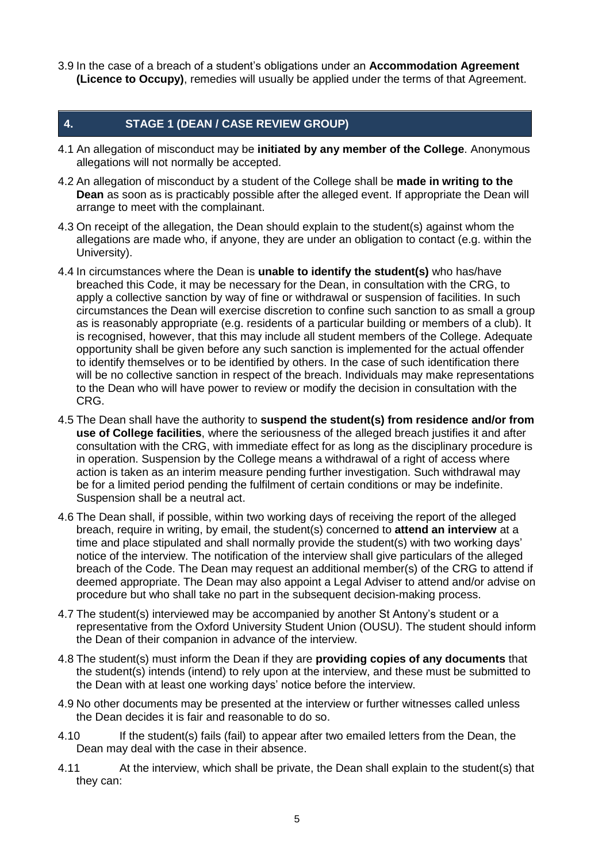3.9 In the case of a breach of a student's obligations under an **Accommodation Agreement (Licence to Occupy)**, remedies will usually be applied under the terms of that Agreement.

### **4. STAGE 1 (DEAN / CASE REVIEW GROUP)**

- 4.1 An allegation of misconduct may be **initiated by any member of the College**. Anonymous allegations will not normally be accepted.
- 4.2 An allegation of misconduct by a student of the College shall be **made in writing to the Dean** as soon as is practicably possible after the alleged event. If appropriate the Dean will arrange to meet with the complainant.
- 4.3 On receipt of the allegation, the Dean should explain to the student(s) against whom the allegations are made who, if anyone, they are under an obligation to contact (e.g. within the University).
- 4.4 In circumstances where the Dean is **unable to identify the student(s)** who has/have breached this Code, it may be necessary for the Dean, in consultation with the CRG, to apply a collective sanction by way of fine or withdrawal or suspension of facilities. In such circumstances the Dean will exercise discretion to confine such sanction to as small a group as is reasonably appropriate (e.g. residents of a particular building or members of a club). It is recognised, however, that this may include all student members of the College. Adequate opportunity shall be given before any such sanction is implemented for the actual offender to identify themselves or to be identified by others. In the case of such identification there will be no collective sanction in respect of the breach. Individuals may make representations to the Dean who will have power to review or modify the decision in consultation with the CRG.
- 4.5 The Dean shall have the authority to **suspend the student(s) from residence and/or from use of College facilities**, where the seriousness of the alleged breach justifies it and after consultation with the CRG, with immediate effect for as long as the disciplinary procedure is in operation. Suspension by the College means a withdrawal of a right of access where action is taken as an interim measure pending further investigation. Such withdrawal may be for a limited period pending the fulfilment of certain conditions or may be indefinite. Suspension shall be a neutral act.
- 4.6 The Dean shall, if possible, within two working days of receiving the report of the alleged breach, require in writing, by email, the student(s) concerned to **attend an interview** at a time and place stipulated and shall normally provide the student(s) with two working days' notice of the interview. The notification of the interview shall give particulars of the alleged breach of the Code. The Dean may request an additional member(s) of the CRG to attend if deemed appropriate. The Dean may also appoint a Legal Adviser to attend and/or advise on procedure but who shall take no part in the subsequent decision-making process.
- 4.7 The student(s) interviewed may be accompanied by another St Antony's student or a representative from the Oxford University Student Union (OUSU). The student should inform the Dean of their companion in advance of the interview.
- 4.8 The student(s) must inform the Dean if they are **providing copies of any documents** that the student(s) intends (intend) to rely upon at the interview, and these must be submitted to the Dean with at least one working days' notice before the interview.
- 4.9 No other documents may be presented at the interview or further witnesses called unless the Dean decides it is fair and reasonable to do so.
- 4.10 If the student(s) fails (fail) to appear after two emailed letters from the Dean, the Dean may deal with the case in their absence.
- 4.11 At the interview, which shall be private, the Dean shall explain to the student(s) that they can: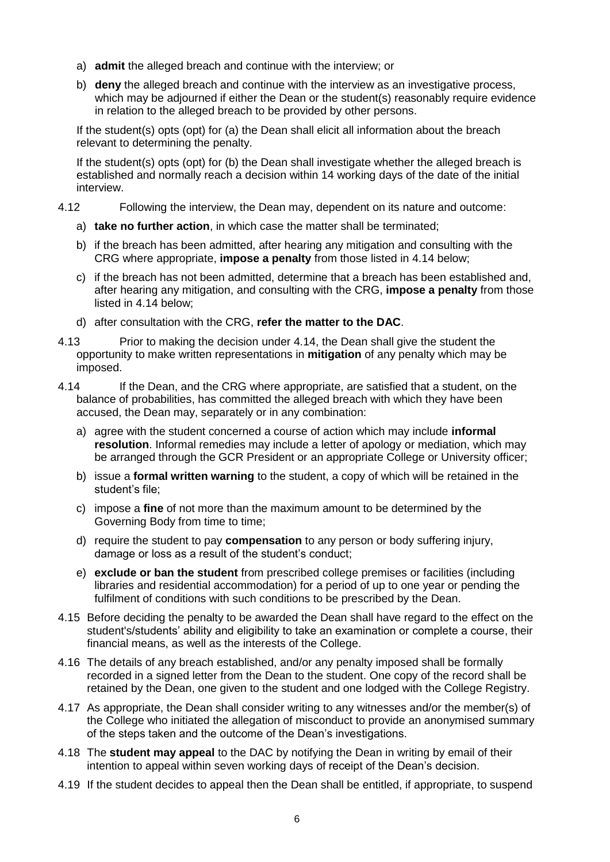- a) **admit** the alleged breach and continue with the interview; or
- b) **deny** the alleged breach and continue with the interview as an investigative process, which may be adjourned if either the Dean or the student(s) reasonably require evidence in relation to the alleged breach to be provided by other persons.

If the student(s) opts (opt) for (a) the Dean shall elicit all information about the breach relevant to determining the penalty.

If the student(s) opts (opt) for (b) the Dean shall investigate whether the alleged breach is established and normally reach a decision within 14 working days of the date of the initial interview.

- 4.12 Following the interview, the Dean may, dependent on its nature and outcome:
	- a) **take no further action**, in which case the matter shall be terminated;
	- b) if the breach has been admitted, after hearing any mitigation and consulting with the CRG where appropriate, **impose a penalty** from those listed in 4.14 below;
	- c) if the breach has not been admitted, determine that a breach has been established and, after hearing any mitigation, and consulting with the CRG, **impose a penalty** from those listed in 4.14 below;
	- d) after consultation with the CRG, **refer the matter to the DAC**.
- 4.13 Prior to making the decision under 4.14, the Dean shall give the student the opportunity to make written representations in **mitigation** of any penalty which may be imposed.
- 4.14 If the Dean, and the CRG where appropriate, are satisfied that a student, on the balance of probabilities, has committed the alleged breach with which they have been accused, the Dean may, separately or in any combination:
	- a) agree with the student concerned a course of action which may include **informal resolution**. Informal remedies may include a letter of apology or mediation, which may be arranged through the GCR President or an appropriate College or University officer;
	- b) issue a **formal written warning** to the student, a copy of which will be retained in the student's file;
	- c) impose a **fine** of not more than the maximum amount to be determined by the Governing Body from time to time;
	- d) require the student to pay **compensation** to any person or body suffering injury, damage or loss as a result of the student's conduct;
	- e) **exclude or ban the student** from prescribed college premises or facilities (including libraries and residential accommodation) for a period of up to one year or pending the fulfilment of conditions with such conditions to be prescribed by the Dean.
- 4.15 Before deciding the penalty to be awarded the Dean shall have regard to the effect on the student's/students' ability and eligibility to take an examination or complete a course, their financial means, as well as the interests of the College.
- 4.16 The details of any breach established, and/or any penalty imposed shall be formally recorded in a signed letter from the Dean to the student. One copy of the record shall be retained by the Dean, one given to the student and one lodged with the College Registry.
- 4.17 As appropriate, the Dean shall consider writing to any witnesses and/or the member(s) of the College who initiated the allegation of misconduct to provide an anonymised summary of the steps taken and the outcome of the Dean's investigations.
- 4.18 The **student may appeal** to the DAC by notifying the Dean in writing by email of their intention to appeal within seven working days of receipt of the Dean's decision.
- 4.19 If the student decides to appeal then the Dean shall be entitled, if appropriate, to suspend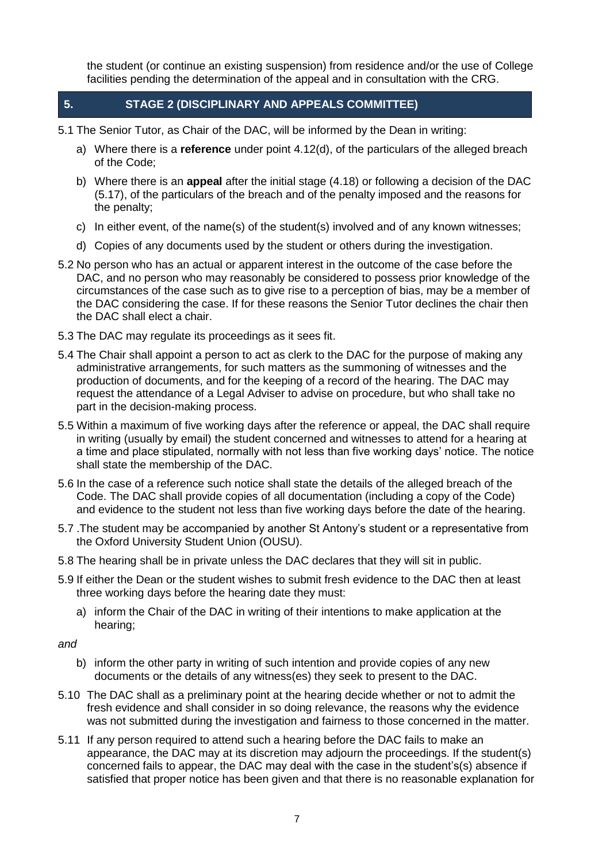the student (or continue an existing suspension) from residence and/or the use of College facilities pending the determination of the appeal and in consultation with the CRG.

- **5. STAGE 2 (DISCIPLINARY AND APPEALS COMMITTEE)**
- 5.1 The Senior Tutor, as Chair of the DAC, will be informed by the Dean in writing:
	- a) Where there is a **reference** under point 4.12(d), of the particulars of the alleged breach of the Code;
	- b) Where there is an **appeal** after the initial stage (4.18) or following a decision of the DAC (5.17), of the particulars of the breach and of the penalty imposed and the reasons for the penalty;
	- c) In either event, of the name(s) of the student(s) involved and of any known witnesses;
	- d) Copies of any documents used by the student or others during the investigation.
- 5.2 No person who has an actual or apparent interest in the outcome of the case before the DAC, and no person who may reasonably be considered to possess prior knowledge of the circumstances of the case such as to give rise to a perception of bias, may be a member of the DAC considering the case. If for these reasons the Senior Tutor declines the chair then the DAC shall elect a chair.
- 5.3 The DAC may regulate its proceedings as it sees fit.
- 5.4 The Chair shall appoint a person to act as clerk to the DAC for the purpose of making any administrative arrangements, for such matters as the summoning of witnesses and the production of documents, and for the keeping of a record of the hearing. The DAC may request the attendance of a Legal Adviser to advise on procedure, but who shall take no part in the decision-making process.
- 5.5 Within a maximum of five working days after the reference or appeal, the DAC shall require in writing (usually by email) the student concerned and witnesses to attend for a hearing at a time and place stipulated, normally with not less than five working days' notice. The notice shall state the membership of the DAC.
- 5.6 In the case of a reference such notice shall state the details of the alleged breach of the Code. The DAC shall provide copies of all documentation (including a copy of the Code) and evidence to the student not less than five working days before the date of the hearing.
- 5.7 .The student may be accompanied by another St Antony's student or a representative from the Oxford University Student Union (OUSU).
- 5.8 The hearing shall be in private unless the DAC declares that they will sit in public.
- 5.9 If either the Dean or the student wishes to submit fresh evidence to the DAC then at least three working days before the hearing date they must:
	- a) inform the Chair of the DAC in writing of their intentions to make application at the hearing;
- *and*
	- b) inform the other party in writing of such intention and provide copies of any new documents or the details of any witness(es) they seek to present to the DAC.
- 5.10 The DAC shall as a preliminary point at the hearing decide whether or not to admit the fresh evidence and shall consider in so doing relevance, the reasons why the evidence was not submitted during the investigation and fairness to those concerned in the matter.
- 5.11 If any person required to attend such a hearing before the DAC fails to make an appearance, the DAC may at its discretion may adjourn the proceedings. If the student(s) concerned fails to appear, the DAC may deal with the case in the student's(s) absence if satisfied that proper notice has been given and that there is no reasonable explanation for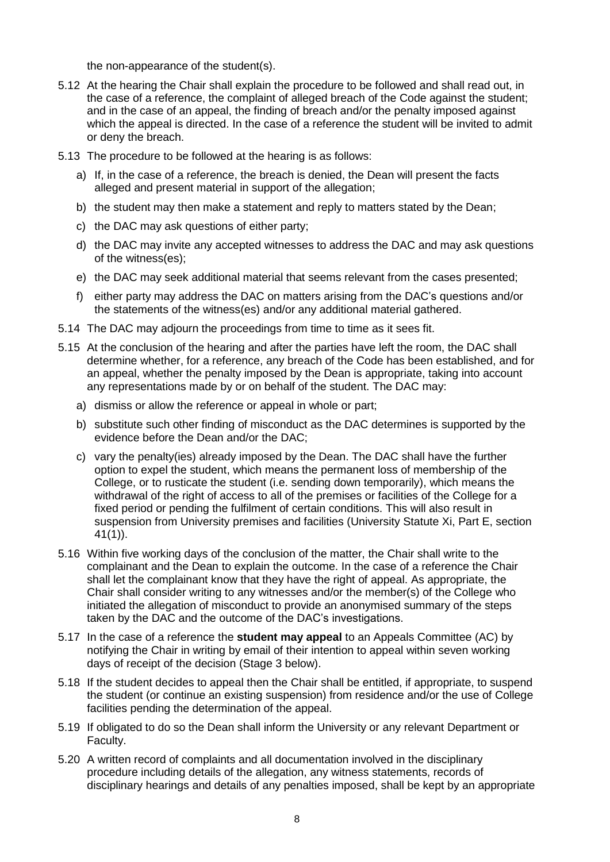the non-appearance of the student(s).

- 5.12 At the hearing the Chair shall explain the procedure to be followed and shall read out, in the case of a reference, the complaint of alleged breach of the Code against the student; and in the case of an appeal, the finding of breach and/or the penalty imposed against which the appeal is directed. In the case of a reference the student will be invited to admit or deny the breach.
- 5.13 The procedure to be followed at the hearing is as follows:
	- a) If, in the case of a reference, the breach is denied, the Dean will present the facts alleged and present material in support of the allegation;
	- b) the student may then make a statement and reply to matters stated by the Dean;
	- c) the DAC may ask questions of either party;
	- d) the DAC may invite any accepted witnesses to address the DAC and may ask questions of the witness(es);
	- e) the DAC may seek additional material that seems relevant from the cases presented;
	- f) either party may address the DAC on matters arising from the DAC's questions and/or the statements of the witness(es) and/or any additional material gathered.
- 5.14 The DAC may adjourn the proceedings from time to time as it sees fit.
- 5.15 At the conclusion of the hearing and after the parties have left the room, the DAC shall determine whether, for a reference, any breach of the Code has been established, and for an appeal, whether the penalty imposed by the Dean is appropriate, taking into account any representations made by or on behalf of the student. The DAC may:
	- a) dismiss or allow the reference or appeal in whole or part;
	- b) substitute such other finding of misconduct as the DAC determines is supported by the evidence before the Dean and/or the DAC;
	- c) vary the penalty(ies) already imposed by the Dean. The DAC shall have the further option to expel the student, which means the permanent loss of membership of the College, or to rusticate the student (i.e. sending down temporarily), which means the withdrawal of the right of access to all of the premises or facilities of the College for a fixed period or pending the fulfilment of certain conditions. This will also result in suspension from University premises and facilities (University Statute Xi, Part E, section 41(1)).
- 5.16 Within five working days of the conclusion of the matter, the Chair shall write to the complainant and the Dean to explain the outcome. In the case of a reference the Chair shall let the complainant know that they have the right of appeal. As appropriate, the Chair shall consider writing to any witnesses and/or the member(s) of the College who initiated the allegation of misconduct to provide an anonymised summary of the steps taken by the DAC and the outcome of the DAC's investigations.
- 5.17 In the case of a reference the **student may appeal** to an Appeals Committee (AC) by notifying the Chair in writing by email of their intention to appeal within seven working days of receipt of the decision (Stage 3 below).
- 5.18 If the student decides to appeal then the Chair shall be entitled, if appropriate, to suspend the student (or continue an existing suspension) from residence and/or the use of College facilities pending the determination of the appeal.
- 5.19 If obligated to do so the Dean shall inform the University or any relevant Department or Faculty.
- 5.20 A written record of complaints and all documentation involved in the disciplinary procedure including details of the allegation, any witness statements, records of disciplinary hearings and details of any penalties imposed, shall be kept by an appropriate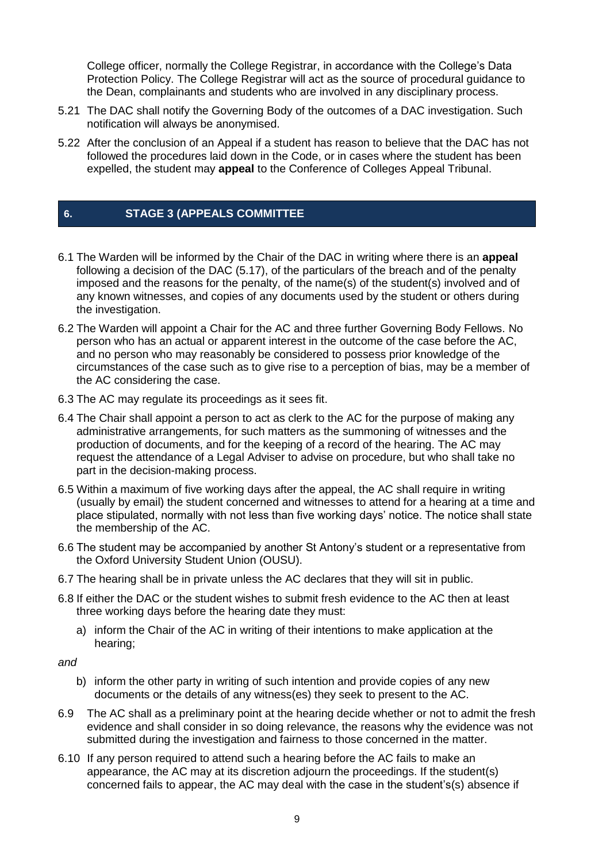College officer, normally the College Registrar, in accordance with the College's Data Protection Policy. The College Registrar will act as the source of procedural guidance to the Dean, complainants and students who are involved in any disciplinary process.

- 5.21 The DAC shall notify the Governing Body of the outcomes of a DAC investigation. Such notification will always be anonymised.
- 5.22 After the conclusion of an Appeal if a student has reason to believe that the DAC has not followed the procedures laid down in the Code, or in cases where the student has been expelled, the student may **appeal** to the Conference of Colleges Appeal Tribunal.

## **6. STAGE 3 (APPEALS COMMITTEE**

- 6.1 The Warden will be informed by the Chair of the DAC in writing where there is an **appeal** following a decision of the DAC (5.17), of the particulars of the breach and of the penalty imposed and the reasons for the penalty, of the name(s) of the student(s) involved and of any known witnesses, and copies of any documents used by the student or others during the investigation.
- 6.2 The Warden will appoint a Chair for the AC and three further Governing Body Fellows. No person who has an actual or apparent interest in the outcome of the case before the AC, and no person who may reasonably be considered to possess prior knowledge of the circumstances of the case such as to give rise to a perception of bias, may be a member of the AC considering the case.
- 6.3 The AC may regulate its proceedings as it sees fit.
- 6.4 The Chair shall appoint a person to act as clerk to the AC for the purpose of making any administrative arrangements, for such matters as the summoning of witnesses and the production of documents, and for the keeping of a record of the hearing. The AC may request the attendance of a Legal Adviser to advise on procedure, but who shall take no part in the decision-making process.
- 6.5 Within a maximum of five working days after the appeal, the AC shall require in writing (usually by email) the student concerned and witnesses to attend for a hearing at a time and place stipulated, normally with not less than five working days' notice. The notice shall state the membership of the AC.
- 6.6 The student may be accompanied by another St Antony's student or a representative from the Oxford University Student Union (OUSU).
- 6.7 The hearing shall be in private unless the AC declares that they will sit in public.
- 6.8 If either the DAC or the student wishes to submit fresh evidence to the AC then at least three working days before the hearing date they must:
	- a) inform the Chair of the AC in writing of their intentions to make application at the hearing;
- *and*
	- b) inform the other party in writing of such intention and provide copies of any new documents or the details of any witness(es) they seek to present to the AC.
- 6.9 The AC shall as a preliminary point at the hearing decide whether or not to admit the fresh evidence and shall consider in so doing relevance, the reasons why the evidence was not submitted during the investigation and fairness to those concerned in the matter.
- 6.10 If any person required to attend such a hearing before the AC fails to make an appearance, the AC may at its discretion adjourn the proceedings. If the student(s) concerned fails to appear, the AC may deal with the case in the student's(s) absence if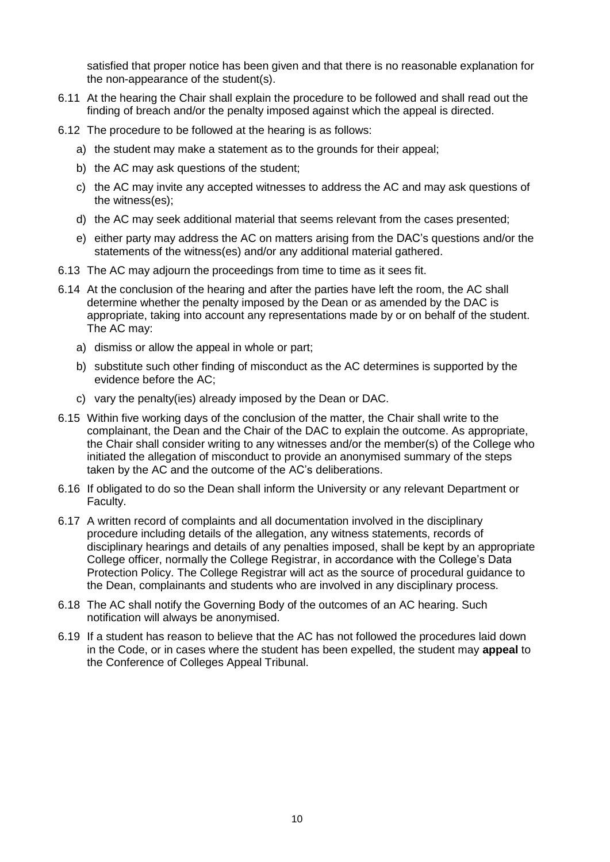satisfied that proper notice has been given and that there is no reasonable explanation for the non-appearance of the student(s).

- 6.11 At the hearing the Chair shall explain the procedure to be followed and shall read out the finding of breach and/or the penalty imposed against which the appeal is directed.
- 6.12 The procedure to be followed at the hearing is as follows:
	- a) the student may make a statement as to the grounds for their appeal;
	- b) the AC may ask questions of the student;
	- c) the AC may invite any accepted witnesses to address the AC and may ask questions of the witness(es);
	- d) the AC may seek additional material that seems relevant from the cases presented;
	- e) either party may address the AC on matters arising from the DAC's questions and/or the statements of the witness(es) and/or any additional material gathered.
- 6.13 The AC may adjourn the proceedings from time to time as it sees fit.
- 6.14 At the conclusion of the hearing and after the parties have left the room, the AC shall determine whether the penalty imposed by the Dean or as amended by the DAC is appropriate, taking into account any representations made by or on behalf of the student. The AC may:
	- a) dismiss or allow the appeal in whole or part;
	- b) substitute such other finding of misconduct as the AC determines is supported by the evidence before the AC;
	- c) vary the penalty(ies) already imposed by the Dean or DAC.
- 6.15 Within five working days of the conclusion of the matter, the Chair shall write to the complainant, the Dean and the Chair of the DAC to explain the outcome. As appropriate, the Chair shall consider writing to any witnesses and/or the member(s) of the College who initiated the allegation of misconduct to provide an anonymised summary of the steps taken by the AC and the outcome of the AC's deliberations.
- 6.16 If obligated to do so the Dean shall inform the University or any relevant Department or Faculty.
- 6.17 A written record of complaints and all documentation involved in the disciplinary procedure including details of the allegation, any witness statements, records of disciplinary hearings and details of any penalties imposed, shall be kept by an appropriate College officer, normally the College Registrar, in accordance with the College's Data Protection Policy. The College Registrar will act as the source of procedural guidance to the Dean, complainants and students who are involved in any disciplinary process.
- 6.18 The AC shall notify the Governing Body of the outcomes of an AC hearing. Such notification will always be anonymised.
- 6.19 If a student has reason to believe that the AC has not followed the procedures laid down in the Code, or in cases where the student has been expelled, the student may **appeal** to the Conference of Colleges Appeal Tribunal.